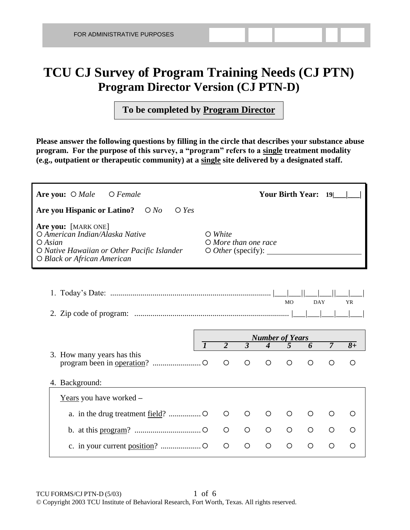# **TCU CJ Survey of Program Training Needs (CJ PTN) Program Director Version (CJ PTN-D)**

**To be completed by Program Director**

**Please answer the following questions by filling in the circle that describes your substance abuse program. For the purpose of this survey, a "program" refers to a single treatment modality (e.g., outpatient or therapeutic community) at a single site delivered by a designated staff.** 

| Are you: $\bigcirc$ Male<br>$O$ Female                                                                                                                                                                                                                                               |  |                |                |                        |                | <b>Your Birth Year:</b> | 19 <sup>1</sup> |                          |
|--------------------------------------------------------------------------------------------------------------------------------------------------------------------------------------------------------------------------------------------------------------------------------------|--|----------------|----------------|------------------------|----------------|-------------------------|-----------------|--------------------------|
| Are you Hispanic or Latino?<br>$\bigcirc$ Yes<br>$\bigcirc$ No                                                                                                                                                                                                                       |  |                |                |                        |                |                         |                 |                          |
| Are you: [MARK ONE]<br>O American Indian/Alaska Native<br>$\bigcirc$ White<br>$O$ More than one race<br>$\bigcirc$ Asian<br>O Native Hawaiian or Other Pacific Islander<br>$\circ$ <i>Other</i> (specify): $\_\_\_\_\_\_\_\_\_\_\_\_\_\_\_\_\_\_\_\_$<br>O Black or African American |  |                |                |                        |                |                         |                 |                          |
|                                                                                                                                                                                                                                                                                      |  |                |                |                        | <b>MO</b>      | <b>DAY</b>              |                 | <b>YR</b>                |
|                                                                                                                                                                                                                                                                                      |  |                |                |                        |                |                         |                 |                          |
|                                                                                                                                                                                                                                                                                      |  |                |                | <b>Number of Years</b> |                |                         |                 |                          |
|                                                                                                                                                                                                                                                                                      |  | $\overline{2}$ | $\overline{3}$ | $\overline{4}$         | $\overline{5}$ | 6                       | $\overline{7}$  | $\overline{\mathbf{8}+}$ |
| 3. How many years has this                                                                                                                                                                                                                                                           |  | $\circ$        | $\circ$        | O                      | $\circ$        | $\circ$                 | ◯               | ◯                        |
| 4. Background:                                                                                                                                                                                                                                                                       |  |                |                |                        |                |                         |                 |                          |
| Years you have worked -                                                                                                                                                                                                                                                              |  |                |                |                        |                |                         |                 |                          |
|                                                                                                                                                                                                                                                                                      |  | $\circ$        | $\circ$        | O                      | O              | O                       | O               | O                        |
|                                                                                                                                                                                                                                                                                      |  | $\circ$        | $\circ$        | $\circ$                | $\circ$        | $\circ$                 | $\circ$         | $\circ$                  |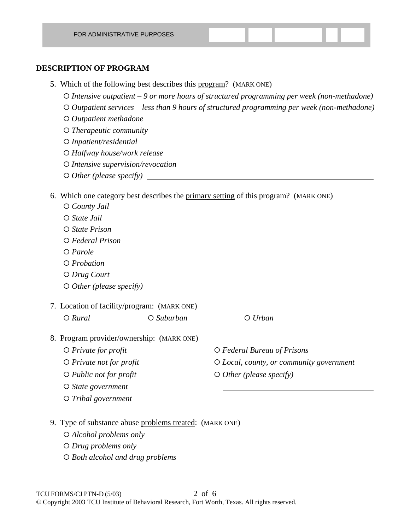#### **DESCRIPTION OF PROGRAM**

- **5**. Which of the following best describes this program? (MARK ONE)
	- *Intensive outpatient 9 or more hours of structured programming per week (non-methadone)*
	- *Outpatient services less than 9 hours of structured programming per week (non-methadone)*
	- *Outpatient methadone*
	- *Therapeutic community*
	- *Inpatient/residential*
	- *Halfway house/work release*
	- *Intensive supervision/revocation*
	- *Other (please specify)*

#### 6. Which one category best describes the primary setting of this program? (MARK ONE)

- *County Jail State Jail*
- *State Prison*
- *Federal Prison*
- *Parole*
- *Probation*
- *Drug Court*
- *Other (please specify)*
- 7. Location of facility/program: (MARK ONE) *Rural Suburban Urban*
	-

- 8. Program provider/ownership: (MARK ONE)
	- *Private for profit Federal Bureau of Prisons*
	- *Private not for profit Local, county, or community government*
	- *O Public not for profit*  $\overline{O}$  *O Other (please specify)*
	- *State government*
	- *Tribal government*
- 9. Type of substance abuse problems treated: (MARK ONE)
	- *Alcohol problems only*
	- *Drug problems only*
	- *Both alcohol and drug problems*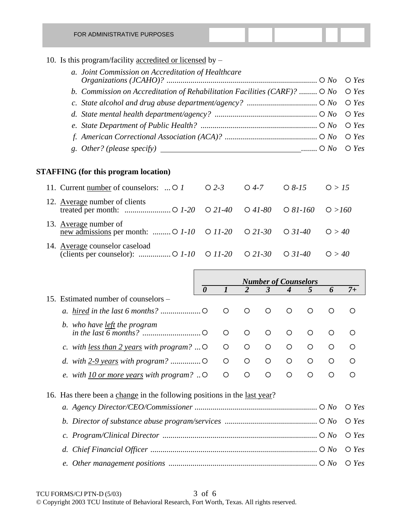10. Is this program/facility accredited or licensed by –

| a. Joint Commission on Accreditation of Healthcare                                 |  |
|------------------------------------------------------------------------------------|--|
| b. Commission on Accreditation of Rehabilitation Facilities (CARF)? $O$ No $O$ Yes |  |
|                                                                                    |  |
|                                                                                    |  |
|                                                                                    |  |
|                                                                                    |  |
|                                                                                    |  |

### **STAFFING (for this program location)**

| 11. Current number of counselors: $\bigcirc$ 1 $\bigcirc$ 2-3 $\bigcirc$ 4-7 $\bigcirc$ 8-15 $\bigcirc$ > 15                          |  |  |
|---------------------------------------------------------------------------------------------------------------------------------------|--|--|
| 12. Average number of clients                                                                                                         |  |  |
| 13. Average number of<br>new admissions per month: $\bigcirc$ 1-10 $\bigcirc$ 11-20 $\bigcirc$ 21-30 $\bigcirc$ 31-40 $\bigcirc$ > 40 |  |  |
| 14. Average counselor caseload                                                                                                        |  |  |

|                                                                          | <b>Number of Counselors</b> |         |         |              |            |            |                |                 |
|--------------------------------------------------------------------------|-----------------------------|---------|---------|--------------|------------|------------|----------------|-----------------|
|                                                                          | $\boldsymbol{\theta}$       |         |         | $\mathbf{3}$ | 4          | 5          | 6              | $7+$            |
| Estimated number of counselors –<br>15.                                  |                             |         |         |              |            |            |                |                 |
|                                                                          |                             | O       | $\circ$ | $\bigcirc$   | ◯          | ◯          | ∩              | ∩               |
| b. who have <u>left</u> the program                                      |                             |         |         |              |            |            |                |                 |
|                                                                          |                             | $\circ$ | $\circ$ | ∩            | ∩          | $\bigcirc$ | ◯              | ∩               |
| c. with <u>less than 2 years</u> with program? $\circ$                   |                             | O       | O       | ◯            | ∩          | ◯          | ∩              | ∩               |
|                                                                          |                             | $\circ$ | O       | O            | O          | O          | ◯              | ∩               |
| e. with $10$ or more years with program? $\circ$                         |                             | $\circ$ | ◯       | $\bigcirc$   | $\bigcirc$ | $\bigcirc$ | $\bigcirc$     | ∩               |
| 16. Has there been a change in the following positions in the last year? |                             |         |         |              |            |            |                |                 |
|                                                                          |                             |         |         |              |            |            |                | $\bigcirc$ Yes  |
|                                                                          |                             |         |         |              |            |            | $\bigcirc$ Yes |                 |
|                                                                          |                             |         |         |              |            |            |                | $\bigcirc$ Yes  |
| $d_{\cdot}$                                                              |                             |         |         |              |            |            |                | Yes<br>$\Omega$ |

*e. Other management positions .......................................................................... No Yes*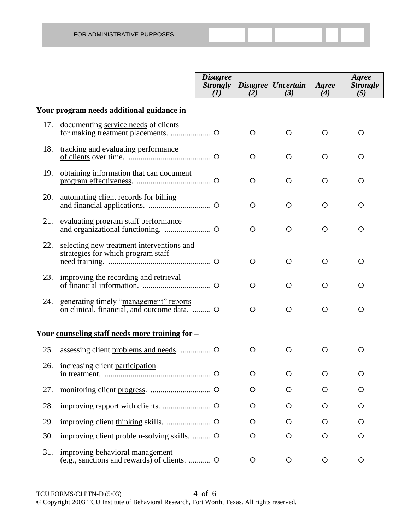|     |                                                                                        | <b>Disagree</b><br><b>Strongly</b><br>(I) | (2)     | Disagree Uncertain<br>(3) | Agree<br>(4) | Agree<br><b>Strongly</b><br>(5) |
|-----|----------------------------------------------------------------------------------------|-------------------------------------------|---------|---------------------------|--------------|---------------------------------|
|     | Your program needs additional guidance in -                                            |                                           |         |                           |              |                                 |
| 17. | documenting service needs of clients                                                   |                                           | O       | O                         | O            | O                               |
| 18. | tracking and evaluating performance                                                    |                                           | O       | O                         | O            | O                               |
| 19. | obtaining information that can document                                                |                                           | O       | $\circ$                   | O            | O                               |
| 20. | automating client records for billing                                                  |                                           | O       | $\circ$                   | $\circ$      | O                               |
| 21. | evaluating program staff performance                                                   |                                           | $\circ$ | $\circ$                   | $\circ$      | O                               |
| 22. | selecting new treatment interventions and<br>strategies for which program staff        |                                           | O       | $\circ$                   | $\circ$      | O                               |
| 23. | improving the recording and retrieval                                                  |                                           | O       | $\circ$                   | $\circ$      | O                               |
| 24. | generating timely "management" reports<br>on clinical, financial, and outcome data.  O |                                           | O       | $\circ$                   | $\circ$      | O                               |
|     | Your counseling staff needs more training for -                                        |                                           |         |                           |              |                                 |
| 25. | assessing client problems and needs.  O                                                |                                           | O       | $\circ$                   | $\circ$      | O                               |
|     | 26. increasing client participation                                                    |                                           | O       | O                         | O            | O                               |
| 27. |                                                                                        |                                           | O       | O                         | O            | O                               |
| 28. |                                                                                        |                                           | O       | O                         | O            | O                               |
| 29. |                                                                                        |                                           | O       | O                         | O            | O                               |
| 30. | improving client problem-solving skills.  O                                            |                                           | O       | O                         | O            | O                               |
| 31. | improving behavioral management                                                        |                                           | O       | O                         | O            | O                               |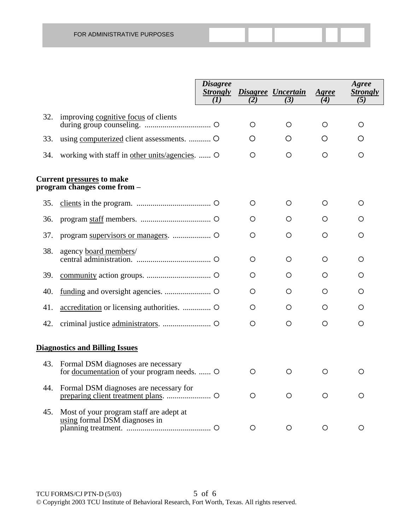|     |                                                                                          | <b>Disagree</b><br><b>Strongly</b><br>(I) | (2)     | Disagree Uncertain<br>(3) | Agree<br>(4) | Agree<br><b>Strongly</b><br>(5) |
|-----|------------------------------------------------------------------------------------------|-------------------------------------------|---------|---------------------------|--------------|---------------------------------|
| 32. | improving cognitive focus of clients                                                     |                                           | O       | O                         | $\circ$      | O                               |
| 33. |                                                                                          |                                           | O       | O                         | O            | O                               |
| 34. | working with staff in other units/agencies.  O                                           |                                           | O       | O                         | $\circ$      | $\circ$                         |
|     | <b>Current pressures to make</b><br>program changes come from –                          |                                           |         |                           |              |                                 |
| 35. |                                                                                          |                                           | $\circ$ | O                         | O            | $\circ$                         |
| 36. |                                                                                          |                                           | O       | O                         | O            | O                               |
| 37. |                                                                                          |                                           | O       | O                         | O            | O                               |
| 38. | agency board members/                                                                    |                                           | $\circ$ | O                         | O            | $\circ$                         |
| 39. |                                                                                          |                                           | O       | O                         | O            | $\circ$                         |
| 40. |                                                                                          |                                           | O       | O                         | O            | O                               |
| 41. |                                                                                          |                                           | O       | O                         | O            | $\circ$                         |
| 42. |                                                                                          |                                           | O       | O                         | O            | O                               |
|     | <b>Diagnostics and Billing Issues</b>                                                    |                                           |         |                           |              |                                 |
| 43. | Formal DSM diagnoses are necessary<br>for <u>documentation</u> of your program needs.  O |                                           | $\circ$ | O                         | O            | O                               |
| 44. | Formal DSM diagnoses are necessary for                                                   |                                           | O       | O                         | O            | O                               |
| 45. | Most of your program staff are adept at<br>using formal DSM diagnoses in                 |                                           | O       | O                         | O            | O                               |